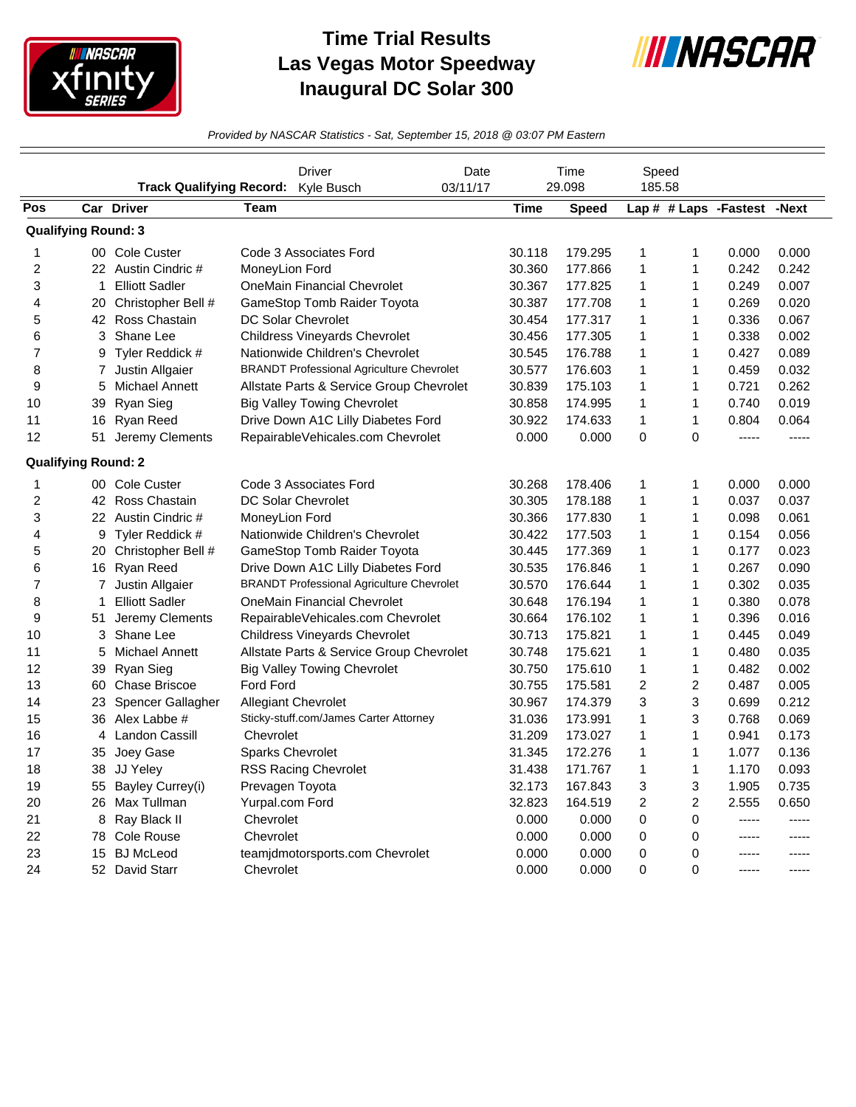

## **Time Trial Results Las Vegas Motor Speedway Inaugural DC Solar 300**



*Provided by NASCAR Statistics - Sat, September 15, 2018 @ 03:07 PM Eastern*

|     | <b>Track Qualifying Record:</b> |                       | Driver<br>Kyle Busch                             | Date<br>03/11/17 | Time<br>29.098 |              | Speed<br>185.58 |                |                       |       |
|-----|---------------------------------|-----------------------|--------------------------------------------------|------------------|----------------|--------------|-----------------|----------------|-----------------------|-------|
| Pos |                                 | Car Driver            | Team                                             |                  | Time           | <b>Speed</b> |                 |                | Lap # # Laps -Fastest | -Next |
|     | <b>Qualifying Round: 3</b>      |                       |                                                  |                  |                |              |                 |                |                       |       |
| 1   |                                 | 00 Cole Custer        | Code 3 Associates Ford                           |                  | 30.118         | 179.295      | 1               | 1              | 0.000                 | 0.000 |
| 2   |                                 | 22 Austin Cindric #   | MoneyLion Ford                                   |                  | 30.360         | 177.866      | 1               | 1              | 0.242                 | 0.242 |
| 3   | $\mathbf{1}$                    | <b>Elliott Sadler</b> | <b>OneMain Financial Chevrolet</b>               |                  | 30.367         | 177.825      | $\mathbf{1}$    | 1              | 0.249                 | 0.007 |
| 4   | 20                              | Christopher Bell #    | <b>GameStop Tomb Raider Toyota</b>               |                  | 30.387         | 177.708      | 1               | 1              | 0.269                 | 0.020 |
| 5   | 42                              | Ross Chastain         | DC Solar Chevrolet                               |                  | 30.454         | 177.317      | 1               | 1              | 0.336                 | 0.067 |
| 6   | 3                               | Shane Lee             | <b>Childress Vineyards Chevrolet</b>             |                  | 30.456         | 177.305      | 1               | 1              | 0.338                 | 0.002 |
| 7   | 9                               | Tyler Reddick #       | Nationwide Children's Chevrolet                  |                  | 30.545         | 176.788      | $\mathbf{1}$    | 1              | 0.427                 | 0.089 |
| 8   | 7                               | Justin Allgaier       | <b>BRANDT Professional Agriculture Chevrolet</b> |                  | 30.577         | 176.603      | 1               | 1              | 0.459                 | 0.032 |
| 9   | 5                               | Michael Annett        | Allstate Parts & Service Group Chevrolet         |                  | 30.839         | 175.103      | 1               | 1              | 0.721                 | 0.262 |
| 10  | 39                              | Ryan Sieg             | <b>Big Valley Towing Chevrolet</b>               |                  | 30.858         | 174.995      | 1               | 1              | 0.740                 | 0.019 |
| 11  | 16                              | Ryan Reed             | Drive Down A1C Lilly Diabetes Ford               |                  | 30.922         | 174.633      | 1               | 1              | 0.804                 | 0.064 |
| 12  | 51                              | Jeremy Clements       | RepairableVehicales.com Chevrolet                |                  | 0.000          | 0.000        | 0               | 0              | $- - - - -$           | ----- |
|     | <b>Qualifying Round: 2</b>      |                       |                                                  |                  |                |              |                 |                |                       |       |
| 1   |                                 | 00 Cole Custer        | Code 3 Associates Ford                           |                  | 30.268         | 178.406      | 1               | 1              | 0.000                 | 0.000 |
| 2   |                                 | 42 Ross Chastain      | <b>DC Solar Chevrolet</b>                        |                  | 30.305         | 178.188      | 1               | $\mathbf{1}$   | 0.037                 | 0.037 |
| 3   |                                 | 22 Austin Cindric #   | MoneyLion Ford                                   |                  | 30.366         | 177.830      | $\mathbf{1}$    | 1              | 0.098                 | 0.061 |
| 4   | 9                               | Tyler Reddick #       | Nationwide Children's Chevrolet                  |                  | 30.422         | 177.503      | $\mathbf{1}$    | 1              | 0.154                 | 0.056 |
| 5   | 20                              | Christopher Bell #    | GameStop Tomb Raider Toyota                      |                  | 30.445         | 177.369      | 1               | 1              | 0.177                 | 0.023 |
| 6   | 16                              | <b>Ryan Reed</b>      | Drive Down A1C Lilly Diabetes Ford               |                  | 30.535         | 176.846      | $\mathbf{1}$    | 1              | 0.267                 | 0.090 |
| 7   |                                 | 7 Justin Allgaier     | <b>BRANDT Professional Agriculture Chevrolet</b> |                  | 30.570         | 176.644      | $\mathbf{1}$    | 1              | 0.302                 | 0.035 |
| 8   | 1                               | <b>Elliott Sadler</b> | <b>OneMain Financial Chevrolet</b>               |                  | 30.648         | 176.194      | $\mathbf{1}$    | 1              | 0.380                 | 0.078 |
| 9   | 51                              | Jeremy Clements       | RepairableVehicales.com Chevrolet                |                  | 30.664         | 176.102      | 1               | 1              | 0.396                 | 0.016 |
| 10  | 3                               | Shane Lee             | <b>Childress Vineyards Chevrolet</b>             |                  | 30.713         | 175.821      | 1               | 1              | 0.445                 | 0.049 |
| 11  | 5                               | <b>Michael Annett</b> | Allstate Parts & Service Group Chevrolet         |                  | 30.748         | 175.621      | $\mathbf{1}$    | 1              | 0.480                 | 0.035 |
| 12  | 39                              | Ryan Sieg             | <b>Big Valley Towing Chevrolet</b>               |                  | 30.750         | 175.610      | $\mathbf{1}$    | 1              | 0.482                 | 0.002 |
| 13  | 60                              | <b>Chase Briscoe</b>  | <b>Ford Ford</b>                                 |                  | 30.755         | 175.581      | $\overline{c}$  | $\overline{c}$ | 0.487                 | 0.005 |
| 14  | 23                              | Spencer Gallagher     | <b>Allegiant Chevrolet</b>                       |                  | 30.967         | 174.379      | 3               | 3              | 0.699                 | 0.212 |
| 15  | 36                              | Alex Labbe #          | Sticky-stuff.com/James Carter Attorney           |                  | 31.036         | 173.991      | $\mathbf{1}$    | 3              | 0.768                 | 0.069 |
| 16  | 4                               | <b>Landon Cassill</b> | Chevrolet                                        |                  | 31.209         | 173.027      | $\mathbf{1}$    | 1              | 0.941                 | 0.173 |
| 17  | 35                              | Joey Gase             | <b>Sparks Chevrolet</b>                          |                  | 31.345         | 172.276      | 1               | 1              | 1.077                 | 0.136 |
| 18  | 38                              | JJ Yeley              | <b>RSS Racing Chevrolet</b>                      |                  | 31.438         | 171.767      | 1               | 1              | 1.170                 | 0.093 |
| 19  | 55                              | Bayley Currey(i)      | Prevagen Toyota                                  |                  | 32.173         | 167.843      | 3               | 3              | 1.905                 | 0.735 |
| 20  | 26                              | Max Tullman           | Yurpal.com Ford                                  |                  | 32.823         | 164.519      | $\overline{c}$  | 2              | 2.555                 | 0.650 |
| 21  | 8                               | Ray Black II          | Chevrolet                                        |                  | 0.000          | 0.000        | 0               | 0              | -----                 | ----- |
| 22  | 78                              | Cole Rouse            | Chevrolet                                        |                  | 0.000          | 0.000        | 0               | 0              | -----                 | ----- |
| 23  | 15                              | <b>BJ</b> McLeod      | teamjdmotorsports.com Chevrolet                  |                  | 0.000          | 0.000        | 0               | $\mathbf{0}$   | -----                 | ----- |
| 24  | 52                              | <b>David Starr</b>    | Chevrolet                                        |                  | 0.000          | 0.000        | $\Omega$        | $\Omega$       | -----                 |       |